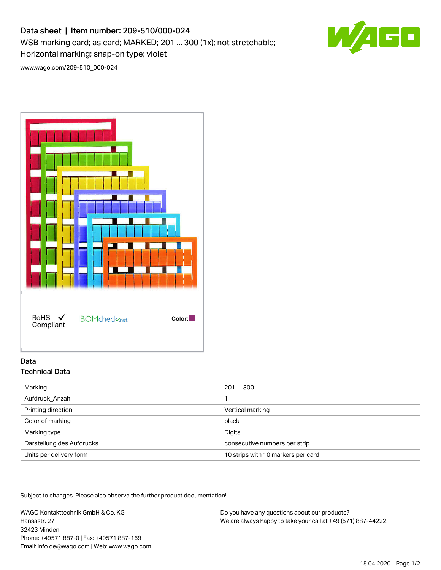# Data sheet | Item number: 209-510/000-024

WSB marking card; as card; MARKED; 201 ... 300 (1x); not stretchable; Horizontal marking; snap-on type; violet



[www.wago.com/209-510\\_000-024](http://www.wago.com/209-510_000-024)



## Data Technical Data

| Marking                   | 201300                             |
|---------------------------|------------------------------------|
| Aufdruck Anzahl           |                                    |
| Printing direction        | Vertical marking                   |
| Color of marking          | black                              |
| Marking type              | Digits                             |
| Darstellung des Aufdrucks | consecutive numbers per strip      |
| Units per delivery form   | 10 strips with 10 markers per card |

Subject to changes. Please also observe the further product documentation!

WAGO Kontakttechnik GmbH & Co. KG Hansastr. 27 32423 Minden Phone: +49571 887-0 | Fax: +49571 887-169 Email: info.de@wago.com | Web: www.wago.com

Do you have any questions about our products? We are always happy to take your call at +49 (571) 887-44222.